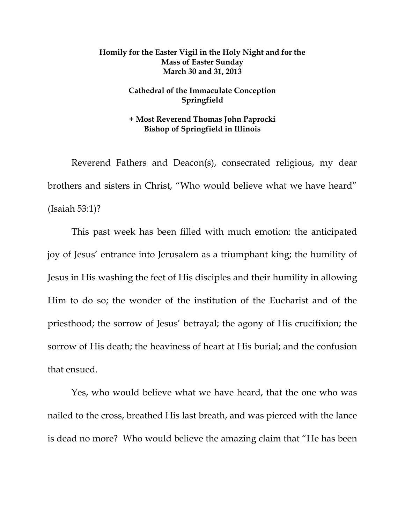## **Homily for the Easter Vigil in the Holy Night and for the Mass of Easter Sunday March 30 and 31, 2013**

## **Cathedral of the Immaculate Conception Springfield**

## **+ Most Reverend Thomas John Paprocki Bishop of Springfield in Illinois**

 Reverend Fathers and Deacon(s), consecrated religious, my dear brothers and sisters in Christ, "Who would believe what we have heard" (Isaiah 53:1)?

 This past week has been filled with much emotion: the anticipated joy of Jesus' entrance into Jerusalem as a triumphant king; the humility of Jesus in His washing the feet of His disciples and their humility in allowing Him to do so; the wonder of the institution of the Eucharist and of the priesthood; the sorrow of Jesus' betrayal; the agony of His crucifixion; the sorrow of His death; the heaviness of heart at His burial; and the confusion that ensued.

 Yes, who would believe what we have heard, that the one who was nailed to the cross, breathed His last breath, and was pierced with the lance is dead no more? Who would believe the amazing claim that "He has been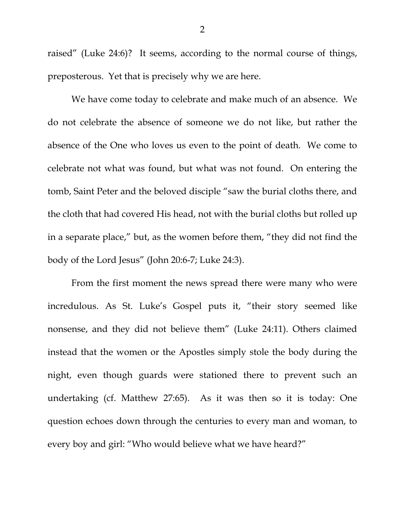raised" (Luke 24:6)? It seems, according to the normal course of things, preposterous. Yet that is precisely why we are here.

 We have come today to celebrate and make much of an absence. We do not celebrate the absence of someone we do not like, but rather the absence of the One who loves us even to the point of death. We come to celebrate not what was found, but what was not found. On entering the tomb, Saint Peter and the beloved disciple "saw the burial cloths there, and the cloth that had covered His head, not with the burial cloths but rolled up in a separate place," but, as the women before them, "they did not find the body of the Lord Jesus" (John 20:6-7; Luke 24:3).

 From the first moment the news spread there were many who were incredulous. As St. Luke's Gospel puts it, "their story seemed like nonsense, and they did not believe them" (Luke 24:11). Others claimed instead that the women or the Apostles simply stole the body during the night, even though guards were stationed there to prevent such an undertaking (cf. Matthew 27:65). As it was then so it is today: One question echoes down through the centuries to every man and woman, to every boy and girl: "Who would believe what we have heard?"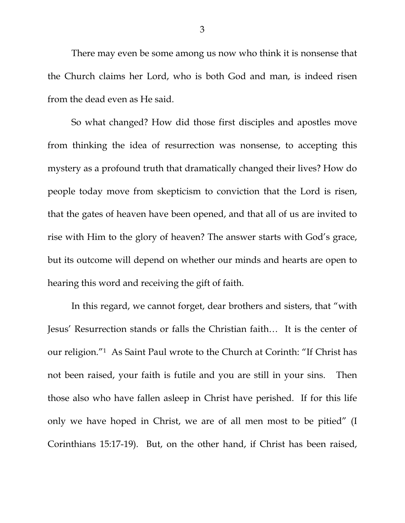There may even be some among us now who think it is nonsense that the Church claims her Lord, who is both God and man, is indeed risen from the dead even as He said.

So what changed? How did those first disciples and apostles move from thinking the idea of resurrection was nonsense, to accepting this mystery as a profound truth that dramatically changed their lives? How do people today move from skepticism to conviction that the Lord is risen, that the gates of heaven have been opened, and that all of us are invited to rise with Him to the glory of heaven? The answer starts with God's grace, but its outcome will depend on whether our minds and hearts are open to hearing this word and receiving the gift of faith.

In this regard, we cannot forget, dear brothers and sisters, that "with Jesus' Resurrection stands or falls the Christian faith… It is the center of our religion."1 As Saint Paul wrote to the Church at Corinth: "If Christ has not been raised, your faith is futile and you are still in your sins. Then those also who have fallen asleep in Christ have perished. If for this life only we have hoped in Christ, we are of all men most to be pitied" (I Corinthians 15:17-19). But, on the other hand, if Christ has been raised,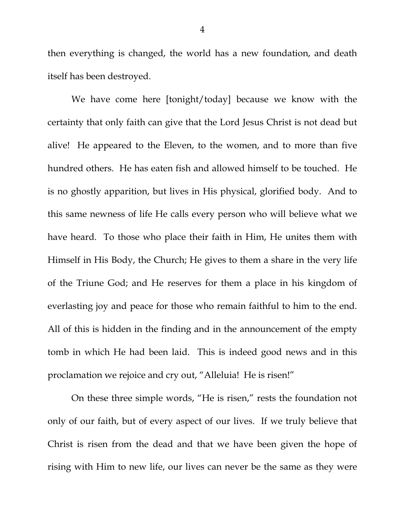then everything is changed, the world has a new foundation, and death itself has been destroyed.

 We have come here [tonight/today] because we know with the certainty that only faith can give that the Lord Jesus Christ is not dead but alive! He appeared to the Eleven, to the women, and to more than five hundred others. He has eaten fish and allowed himself to be touched. He is no ghostly apparition, but lives in His physical, glorified body. And to this same newness of life He calls every person who will believe what we have heard. To those who place their faith in Him, He unites them with Himself in His Body, the Church; He gives to them a share in the very life of the Triune God; and He reserves for them a place in his kingdom of everlasting joy and peace for those who remain faithful to him to the end. All of this is hidden in the finding and in the announcement of the empty tomb in which He had been laid. This is indeed good news and in this proclamation we rejoice and cry out, "Alleluia! He is risen!"

 On these three simple words, "He is risen," rests the foundation not only of our faith, but of every aspect of our lives. If we truly believe that Christ is risen from the dead and that we have been given the hope of rising with Him to new life, our lives can never be the same as they were